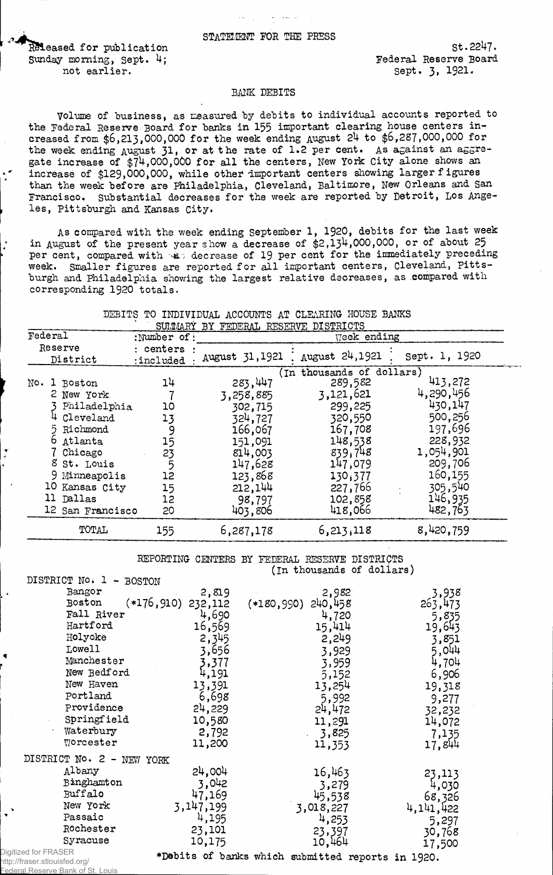Released for publication Sunday morning, Sept. 4; not earlier.

St.2247. Federal Reserve Board Sept. 3, 1921.

## **BANK DEBITS**

Volume of business, as measured by debits to individual accounts reported to the Federal Reserve Board for banks in 155 important clearing house centers increased from \$6,213,000,000 for the week ending August 24 to \$6,287,000,000 for the week ending August 31, or at the rate of 1.2 per cent. As a gainst an a g g regate increase of \$74,000,000 for all the centers, New York City alone shows an increase of \$129,000,000, while other important centers showing larger figures than the week before are Philadelphia, Cleveland, Baltimore, New Orleans and San Francisco. Substantial decreases for the week are reported by Detroit, Los Angeles, Pittsburgh and Kansas City.

As compared with the week ending September 1, 1920, debits for the last week in August of the present year show a decrease of \$2,134,000,000, or of about 25 per cent, compared with  $\frac{1}{2}$  decrease of 19 per cent for the immediately preceding week. Smaller figures are reported for all important centers, Cleveland, Pittsburgh and Philadelphia showing the largest relative decreases, as compared with corresponding 1920 totals.

|  |  | DEBITS TO INDIVIDUAL ACCOUNTS AT CLEARING HOUSE BANKS |  |  |  |
|--|--|-------------------------------------------------------|--|--|--|
|  |  | SUMMARY BY FEDERAL RESERVE DISTRICTS                  |  |  |  |

|                           |                               |                      | SUMMARY BY FEDERAL RESERVE DISTRICTS |                |               |
|---------------------------|-------------------------------|----------------------|--------------------------------------|----------------|---------------|
|                           | Federal                       | :Number of:          |                                      | Week ending    |               |
|                           | Reserve<br>District           | centers<br>:included | August 31,1921                       | August 24,1921 | Sept. 1, 1920 |
| (In thousands of dollars) |                               |                      |                                      |                |               |
| No.                       | $\mathbf{1}$<br><b>Boston</b> | 14                   | 283,447                              | 289,582        | 413,272       |
|                           | 2 New York                    |                      | 3,258,885                            | 3,121,621      | 4,290,456     |
|                           | Philadelphia                  | 10                   | 302,715                              | 299,225        | 430,147       |
|                           | Cleveland                     | 13                   | 324,727                              | 320,550        | 500,256       |
|                           | Richmond                      | 9                    | 166,067                              | 167,708        | 197,696       |
|                           | Atlanta                       | 15                   | 151,091                              | 148,538        | 228,932       |
|                           | Chicago                       | 23                   | 814,003                              | 839,748        | 1,054,901     |
|                           | 8 St. Louis                   |                      | 147,628                              | 147,079        | 209,706       |
|                           | 9 Minneapolis                 | 12                   | 123,868                              | 130,377        | 160,155       |
|                           | 10 Kansas City                | 15                   | 212,144                              | 227,766        | 305,540       |
|                           | 11 Dallas                     | 12                   | 98,797                               | 102,858        | 146,935       |
|                           | 12 San Francisco              | 20                   | 403,806                              | 418,066        | 482,763       |
|                           | TOTAL                         | 155                  | 6,287,178                            | 6,213,118      | 8,420,759     |

REPORTING CENTERS BY FEDERAL RESERVE DISTRICTS (In thousands of dollars) **DISTRICT No\*** 1 **- BOSTON**

| Digitized for FRASER<br>ttn://fraeer.etlnuiefed.org/ |                  | *Debits of banks which submitted reports in 1920. |                  |
|------------------------------------------------------|------------------|---------------------------------------------------|------------------|
| Syracuse                                             | 10,175           | 10,464                                            | 17,500           |
| Rochester                                            | 23,101           | 23,397                                            | 30,768           |
| Passaic                                              | 4,195            | 4,253                                             | 5,297            |
| New York                                             | 3,147,199        | 3,018,227                                         | 4,141,422        |
| Buffalo                                              | 47,169           | 45,538                                            | 68,326           |
| Binghamton                                           | 3,042            | 3,279                                             | 4,030            |
| DISTRICT No. 2 -<br>NEW YORK<br>Albany               | 24,004           | 16,463                                            | 23,113           |
|                                                      | 11,200           | 11,353                                            | 17,844           |
| Waterbury<br>$\operatorname{\tt Woreester}$          | 2,792            | 3,825                                             | 7,135            |
| Springfield                                          | 10,580           | 11,291                                            | 14,072           |
| Providence                                           | 24,229           | 24,472                                            | 32,232           |
| Portland                                             | 6,698            | 5,992                                             | 9,277            |
| New Haven                                            | 13,391           | 13,254                                            | 19,318           |
| New Bedford                                          | 4,191            | 5,152                                             | 6,906            |
| Manchester                                           | 3,377            | 3,959                                             | 4,704            |
| Lowell                                               | 3,656            | 3,929                                             | 5,044            |
| Holyoke                                              | 2,345            | 2,249                                             | 3,851            |
| Hartford                                             | 16,569           | 15,414                                            | 19,643           |
| Fall River                                           | 4,690            | 4,720                                             | 5,835            |
| $(*176, 910)$<br>Boston                              | 2,819<br>232,112 | 2,982<br>240, 458<br>$(*180,990)$                 | 3,938<br>263,473 |
| ntnitint Mo. T<br>עש בטים<br>Bangor                  |                  |                                                   |                  |

http://fr Bank of St. Louis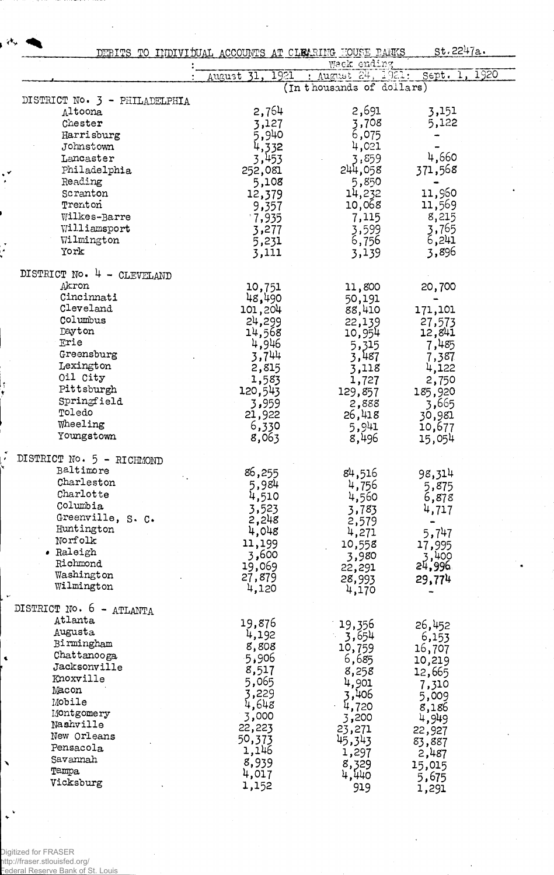|                                        |                    | DEBITS TO INDIVIDUAL ACCOUNTS AT CLEARING FOUSE BANKS<br>Week ending | st.2247a.                         |  |  |  |
|----------------------------------------|--------------------|----------------------------------------------------------------------|-----------------------------------|--|--|--|
|                                        | 1921<br>August 31. | : August 24, 1921:                                                   | Sept. 1, 1920                     |  |  |  |
|                                        |                    | (In thousands of dollars)                                            |                                   |  |  |  |
| DISTRICT No. 3 - PHILADELPHIA          |                    |                                                                      |                                   |  |  |  |
| Altoona                                | 2,764              | 2,691                                                                | 3,151                             |  |  |  |
| Chester                                | 3,127              | 3,708                                                                | 5,122                             |  |  |  |
| Harrisburg                             | 5,940              | 6,075                                                                |                                   |  |  |  |
| Johnstown                              | 4,332              | 4,021                                                                |                                   |  |  |  |
| Lancaster                              | 3,453              | 3,859                                                                | 4,660                             |  |  |  |
| Philadelphia                           | 252,081            | 244,058                                                              | 371,568                           |  |  |  |
| Reading                                | 5,108              | 5,850                                                                |                                   |  |  |  |
| Scranton                               | 12,379             | 14,232                                                               | 11,960                            |  |  |  |
| Trenton                                | 9,357              | 10,068                                                               | 11,569                            |  |  |  |
| Wilkes-Barre                           | 1,935              | 7,115                                                                | 8,215                             |  |  |  |
| Williamsport                           | 3,277              | 3,599                                                                |                                   |  |  |  |
| Wilmington                             | 5,231              | 6,756                                                                | $\frac{3}{6}$ , $\frac{765}{241}$ |  |  |  |
| York                                   | 3,111              | 3,139                                                                | 3,896                             |  |  |  |
|                                        |                    |                                                                      |                                   |  |  |  |
| DISTRICT No. 4 - CLEVELAND<br>Akron    |                    |                                                                      |                                   |  |  |  |
| Cincinnati                             | 10,751             | 11,800                                                               | 20,700                            |  |  |  |
| Cleveland                              | 48,490             | 50,191                                                               |                                   |  |  |  |
| Columbus                               | 101,204            | 88,410                                                               | 171,101                           |  |  |  |
| Dayton                                 | 24,299<br>14,568   | 22,139<br>10,954                                                     | 27,573<br>12,841                  |  |  |  |
| Erie                                   | 4,946              |                                                                      | 7,485                             |  |  |  |
| Greensburg                             | 3,744              | 5,315<br>3,487                                                       | 7,387                             |  |  |  |
| Lexington                              | 2,815              | 3,118                                                                | 4,122                             |  |  |  |
| Oil City                               | 1,583              | 1,727                                                                | 2,750                             |  |  |  |
| Pittsburgh                             | 120,543            | 129,857                                                              | 185,920                           |  |  |  |
| Springfield                            | 3,959              | 2,888                                                                | 3,665                             |  |  |  |
| Toledo                                 | 21,922             | 26,418                                                               | 30,981                            |  |  |  |
| Wheeling                               | 6,330              | 5,941                                                                | 10,677                            |  |  |  |
| Youngstown                             | 8,063              | 8,496                                                                | 15,054                            |  |  |  |
|                                        |                    |                                                                      |                                   |  |  |  |
| DISTRICT No. 5 - RICHMOND<br>Baltimore |                    |                                                                      |                                   |  |  |  |
| Charleston                             | 86,255             | 84,516                                                               | 98,314                            |  |  |  |
| Charlotte                              | 5,984              | 4,756                                                                | 5,875                             |  |  |  |
| Columbia                               | 4,510              | 4,560                                                                | 6,878                             |  |  |  |
| Greenville, S. C.                      | 3,523              | 3,783                                                                | 4,717                             |  |  |  |
| Huntington                             | 2,248              | 2,579                                                                |                                   |  |  |  |
| Norfolk                                | 4,048              | 4,271                                                                | 5,747                             |  |  |  |
| · Raleigh                              | 11,199             | 10,558                                                               | 17,995                            |  |  |  |
| Richmond                               | 500, 3             | 3,980                                                                | 3,400<br>24,996                   |  |  |  |
| Washington                             | 19,069<br>27,879   | 22,291                                                               |                                   |  |  |  |
| Wilmington                             | 4,120              | 28,993<br>4,170                                                      | 29,774                            |  |  |  |
| DISTRICT No. 6 - ATLANTA               |                    |                                                                      |                                   |  |  |  |
| Atlanta                                | 19,876             | 19,356                                                               | 26,452                            |  |  |  |
| Augusta                                | 4,192              | $-3,654$                                                             | 6,153                             |  |  |  |
| Birmingham                             | 8,808              | 10,759                                                               | 16,707                            |  |  |  |
| Chattanooga                            | 906ء5              | 6,685                                                                | 10,219                            |  |  |  |
| Jacksonville                           | 8,517              | 8,258                                                                | 12,665                            |  |  |  |
| Knoxville                              | 5,065              | 4,901                                                                | 7,310                             |  |  |  |
| Macon                                  | 3,229              | 3,406                                                                | 5,009                             |  |  |  |
| Mobile                                 | 4,648              | 4,720                                                                | 8,186                             |  |  |  |
| Montgomery<br>Nashville                | 3,000              | 3,200                                                                | 4,949                             |  |  |  |
| New Orleans                            | 22,223             | 23,271                                                               | 22,927                            |  |  |  |
| Pensacola                              | 50,373             | 45,343                                                               | 83,887                            |  |  |  |
| Savannah                               | 1,146              | 1,297                                                                | 2,487                             |  |  |  |
| <b>Tampa</b>                           | 8,939              | $8,329$<br>4,440                                                     | 15,015                            |  |  |  |
| Vicksburg                              | 4,017              |                                                                      | 5,675                             |  |  |  |
|                                        | 1,152              | 919                                                                  | 1,291                             |  |  |  |

Digitized for FRASER<br>http://fraser.stlouisfed.org/<br>Federal Reserve Bank of St. Louis

¢

٦

÷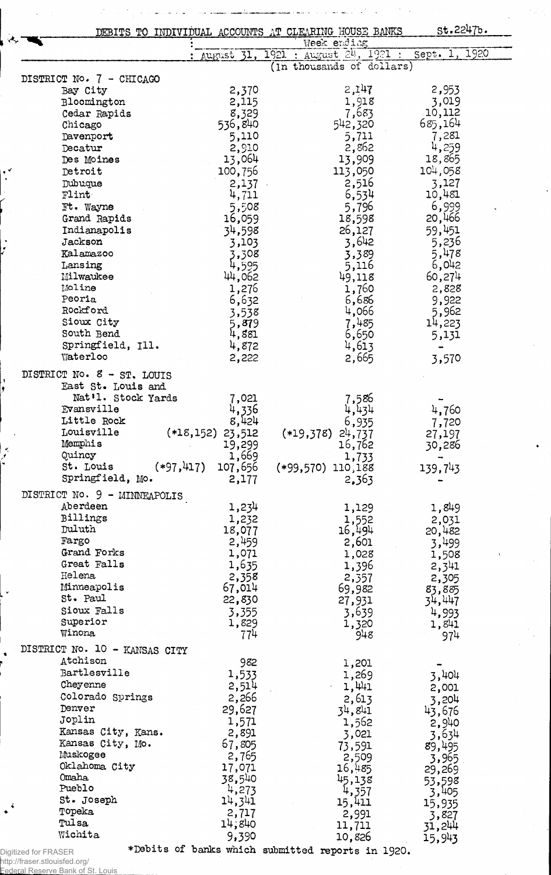|                               |                        | DEBITS TO INDIVIDUAL ACCOUNTS AT CLEARING HOUSE BANKS | st.2247b.         |
|-------------------------------|------------------------|-------------------------------------------------------|-------------------|
|                               | August 31              | Week ending<br>1921 : August 24, 1921 :               | Sept. 1, 1920     |
|                               |                        | (In thousands of dollars)                             |                   |
| DISTRICT No. 7 - CHICAGO      |                        |                                                       |                   |
| Bay City                      | 2,370                  | 2,147                                                 | 2,953             |
| Bloomington                   | 2,115                  | 1,918                                                 | 3,019             |
| Cedar Rapids                  | 8,329                  | 7,683                                                 | 10,112<br>685,164 |
| Chicago<br>Davenport          | 536,840<br>5,110       | 542,320<br>5,711                                      | 7,281             |
| Decatur                       | 2,910                  | 2,862                                                 | 4,259             |
| Des Moines                    | 13,064                 | 13,909                                                | 18,865            |
| Detroit                       | 100,756                | 113,050                                               | 104,058           |
| Dubuque                       | 2,137                  | 2,516                                                 | 3,127             |
| Flint                         | 4,711                  | 6,534                                                 | 10,481            |
| Ft. Wayne                     | 5,508                  | 5,796                                                 | 6,999             |
| Grand Rapids                  | 16,059                 | 18,598                                                | 20,466            |
| Indianapolis                  | 34,598                 | 26,127                                                | 59,451            |
| Jackson                       | 3,103                  | 3,642                                                 | 5,236             |
| Kalamazoo                     | 3,308                  | 3,389                                                 | 5,478             |
| Lansing<br>Milwaukee          | 4,595                  | 5,116<br>49,118                                       | 6,042<br>60,274   |
| Moline                        | 44,062<br>1,276        | 1,760                                                 | 2,828             |
| Peoria                        | 6,632                  | 6,686                                                 | 9,922             |
| Rockford                      | 3,538                  | 4,066                                                 | 5,962             |
| Sioux City                    | 5,879                  | 7,485                                                 | 14,223            |
| South Bend                    | 4,881                  | 6,650                                                 | 5,131             |
| Springfield, Ill.             | 4,872                  | 4,613                                                 |                   |
| Waterloo                      | 2,222                  | 2,665                                                 | 3,570             |
| DISTRICT No. 8 - ST. LOUIS    |                        |                                                       |                   |
| East St. Louis and            |                        |                                                       |                   |
| Nat'l. Stock Yards            | 7,021                  | 7,586                                                 |                   |
| Evansville                    | 4,336                  | 4,434                                                 | 4,760             |
| Little Rock                   | 8,424                  | 6,935                                                 | 7,720             |
| Louisville                    | $(*18,152)$<br>23,512  | $(*19,378)$<br>24,737                                 | 27,197            |
| Memphis<br>Quincy             | 19,299<br>1,669        | 16,762                                                | 30,286            |
| St. Louis                     | $(*97,417)$<br>107,656 | 1,733<br>$(*99,570)$ 110,188                          | 139,743           |
| Springfield, Mo.              | 2,177                  | 2,363                                                 |                   |
| DISTRICT No. 9 - MINNEAPOLIS  |                        |                                                       |                   |
| Aberdeen                      | 1,234                  | 1,129                                                 | 1,849             |
| Billings                      | 1,232                  | 1,552                                                 | 2,031             |
| Duluth                        | 18,077                 | 16,494                                                | 20,482            |
| Fargo                         | 2,459                  | 2,601                                                 | 3,499             |
| Grand Forks                   | 1,071                  | 1,028                                                 | 1,508             |
| Great Falls                   | 1,635                  | 1,396                                                 | 2,341             |
| Helena                        | 2,358                  | 2,357                                                 | 2,305             |
| Minneapolis<br>St. Paul       | 67,014                 | 69,982                                                | 83,885            |
| Sioux Falls                   | 22,830                 | 27,931                                                | 34,447            |
| Superior                      | 3,355<br>1,829         | 3,639                                                 | 4,993             |
| Winona                        | 774                    | 1,320<br>948                                          | 1,841<br>974      |
| DISTRICT No. 10 - KANSAS CITY |                        |                                                       |                   |
| Atchison                      | 982                    |                                                       |                   |
| Bartlesville                  | 1,533                  | 1,201<br>1,269                                        |                   |
| Cheyenne                      | 2,514                  | 1,441                                                 | 3,404<br>2,001    |
| Colorado Springs              | 2,266                  | 2,613                                                 | 3,204             |
| Denver                        | 29,627                 | 34,841                                                | 43,676            |
| Joplin                        | 1,571                  | 1,562                                                 | 2,940             |
| Kansas City, Kans.            | 2,891                  | 3,021                                                 | 3,634             |
| Kansas City, Mo.              | 67,805                 | 73,591                                                | 89,495            |
| Muskogee                      | 2,765                  | 2,509                                                 | 3,965             |
| Oklahoma City                 | 17,071                 | 16,485                                                | 29,269            |
| Omaha<br>Pueblo               | 38,540                 | 45,138                                                | 53,598            |
| St. Joseph                    | 4,273<br>14,341        | 4,357                                                 | 3,405             |
| Topeka                        | 2,717                  | 15,411<br>2,991                                       | 15,935            |
| Tulsa                         | 14,840                 | 11,711                                                | 3,827<br>31,244   |
| Wichita                       | 9,390                  | 10,826                                                | 15,943            |
| igitized for FRASER           |                        | *Debits of banks which submitted reports in 1920.     |                   |

Digitized for FRASER<br>http://fraser.stlouisfed.org/<br>Eederal Reserve Bank of St